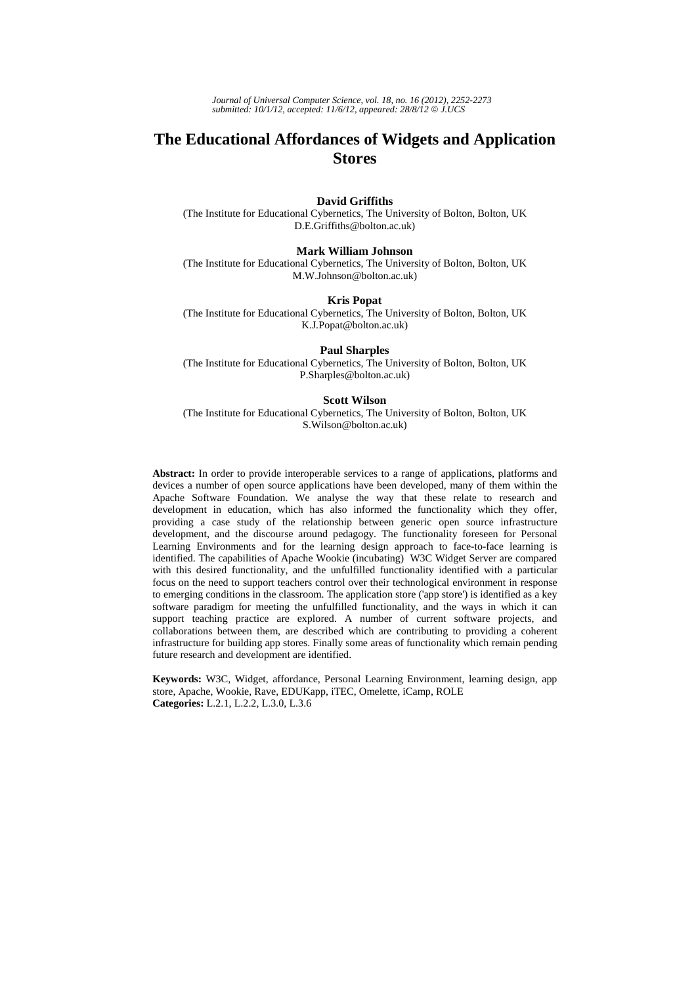*Journal of Universal Computer Science, vol. 18, no. 16 (2012), 2252-2273 submitted: 10/1/12, accepted: 11/6/12, appeared: 28/8/12* © *J.UCS*

# **The Educational Affordances of Widgets and Application Stores**

### **David Griffiths**

(The Institute for Educational Cybernetics, The University of Bolton, Bolton, UK D.E.Griffiths@bolton.ac.uk)

#### **Mark William Johnson**

(The Institute for Educational Cybernetics, The University of Bolton, Bolton, UK M.W.Johnson@bolton.ac.uk)

#### **Kris Popat**

(The Institute for Educational Cybernetics, The University of Bolton, Bolton, UK K.J.Popat@bolton.ac.uk)

#### **Paul Sharples**

(The Institute for Educational Cybernetics, The University of Bolton, Bolton, UK P.Sharples@bolton.ac.uk)

#### **Scott Wilson**

(The Institute for Educational Cybernetics, The University of Bolton, Bolton, UK S.Wilson@bolton.ac.uk)

**Abstract:** In order to provide interoperable services to a range of applications, platforms and devices a number of open source applications have been developed, many of them within the Apache Software Foundation. We analyse the way that these relate to research and development in education, which has also informed the functionality which they offer, providing a case study of the relationship between generic open source infrastructure development, and the discourse around pedagogy. The functionality foreseen for Personal Learning Environments and for the learning design approach to face-to-face learning is identified. The capabilities of Apache Wookie (incubating) W3C Widget Server are compared with this desired functionality, and the unfulfilled functionality identified with a particular focus on the need to support teachers control over their technological environment in response to emerging conditions in the classroom. The application store ('app store') is identified as a key software paradigm for meeting the unfulfilled functionality, and the ways in which it can support teaching practice are explored. A number of current software projects, and collaborations between them, are described which are contributing to providing a coherent infrastructure for building app stores. Finally some areas of functionality which remain pending future research and development are identified.

**Keywords:** W3C, Widget, affordance, Personal Learning Environment, learning design, app store, Apache, Wookie, Rave, EDUKapp, iTEC, Omelette, iCamp, ROLE **Categories:** L.2.1, L.2.2, L.3.0, L.3.6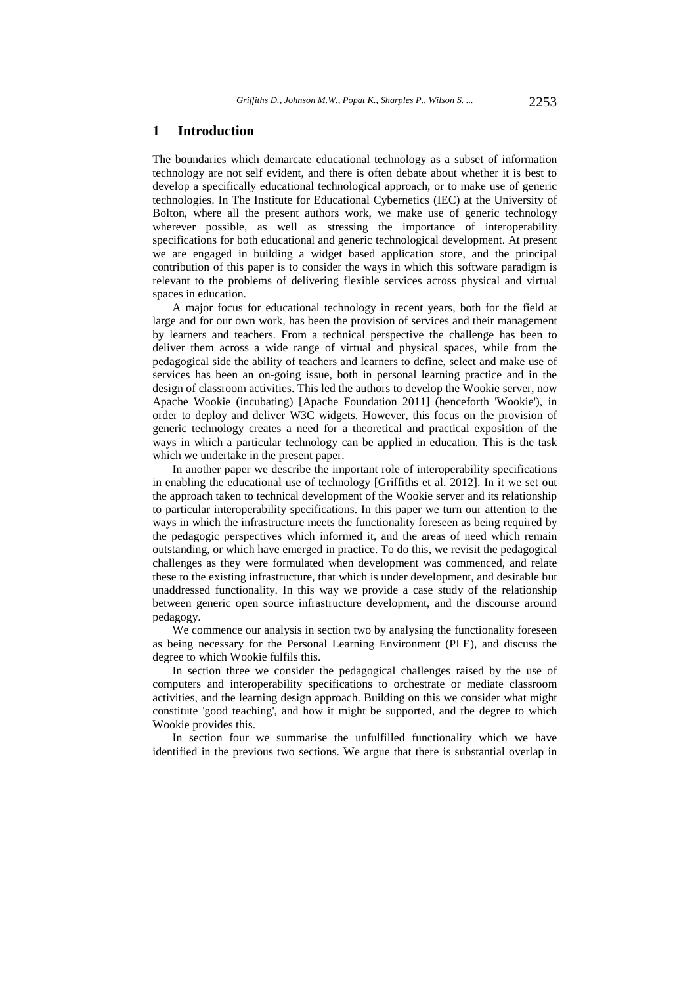### **1 Introduction**

The boundaries which demarcate educational technology as a subset of information technology are not self evident, and there is often debate about whether it is best to develop a specifically educational technological approach, or to make use of generic technologies. In The Institute for Educational Cybernetics (IEC) at the University of Bolton, where all the present authors work, we make use of generic technology wherever possible, as well as stressing the importance of interoperability specifications for both educational and generic technological development. At present we are engaged in building a widget based application store, and the principal contribution of this paper is to consider the ways in which this software paradigm is relevant to the problems of delivering flexible services across physical and virtual spaces in education.

A major focus for educational technology in recent years, both for the field at large and for our own work, has been the provision of services and their management by learners and teachers. From a technical perspective the challenge has been to deliver them across a wide range of virtual and physical spaces, while from the pedagogical side the ability of teachers and learners to define, select and make use of services has been an on-going issue, both in personal learning practice and in the design of classroom activities. This led the authors to develop the Wookie server, now Apache Wookie (incubating) [Apache Foundation 2011] (henceforth 'Wookie'), in order to deploy and deliver W3C widgets. However, this focus on the provision of generic technology creates a need for a theoretical and practical exposition of the ways in which a particular technology can be applied in education. This is the task which we undertake in the present paper.

In another paper we describe the important role of interoperability specifications in enabling the educational use of technology [Griffiths et al. 2012]. In it we set out the approach taken to technical development of the Wookie server and its relationship to particular interoperability specifications. In this paper we turn our attention to the ways in which the infrastructure meets the functionality foreseen as being required by the pedagogic perspectives which informed it, and the areas of need which remain outstanding, or which have emerged in practice. To do this, we revisit the pedagogical challenges as they were formulated when development was commenced, and relate these to the existing infrastructure, that which is under development, and desirable but unaddressed functionality. In this way we provide a case study of the relationship between generic open source infrastructure development, and the discourse around pedagogy.

We commence our analysis in section two by analysing the functionality foreseen as being necessary for the Personal Learning Environment (PLE), and discuss the degree to which Wookie fulfils this.

In section three we consider the pedagogical challenges raised by the use of computers and interoperability specifications to orchestrate or mediate classroom activities, and the learning design approach. Building on this we consider what might constitute 'good teaching', and how it might be supported, and the degree to which Wookie provides this.

In section four we summarise the unfulfilled functionality which we have identified in the previous two sections. We argue that there is substantial overlap in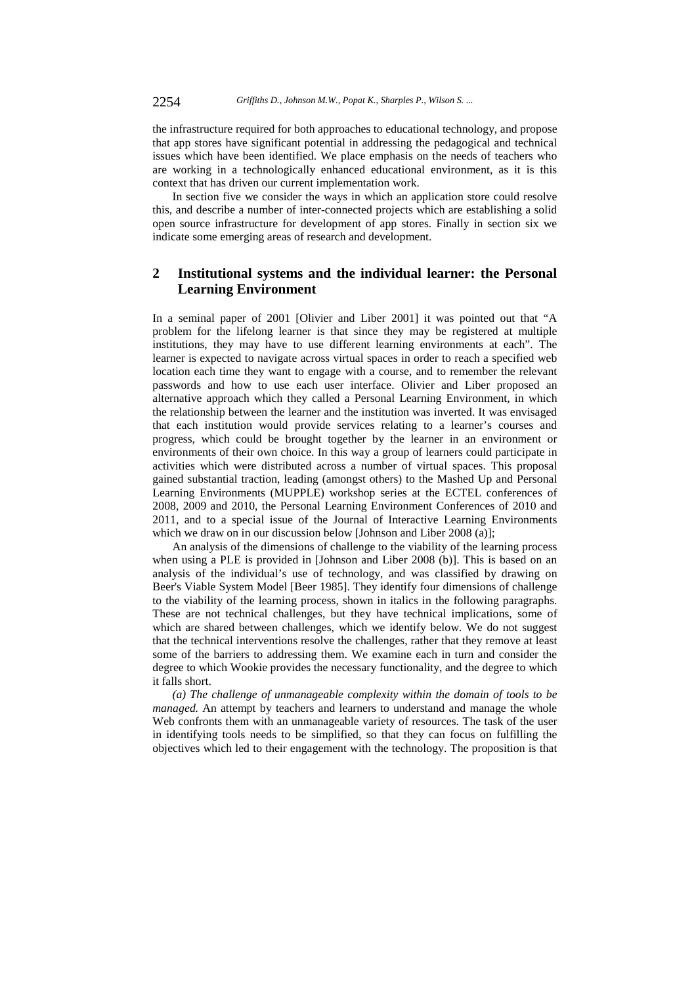the infrastructure required for both approaches to educational technology, and propose that app stores have significant potential in addressing the pedagogical and technical issues which have been identified. We place emphasis on the needs of teachers who are working in a technologically enhanced educational environment, as it is this context that has driven our current implementation work.

In section five we consider the ways in which an application store could resolve this, and describe a number of inter-connected projects which are establishing a solid open source infrastructure for development of app stores. Finally in section six we indicate some emerging areas of research and development.

# **2 Institutional systems and the individual learner: the Personal Learning Environment**

In a seminal paper of 2001 [Olivier and Liber 2001] it was pointed out that "A problem for the lifelong learner is that since they may be registered at multiple institutions, they may have to use different learning environments at each". The learner is expected to navigate across virtual spaces in order to reach a specified web location each time they want to engage with a course, and to remember the relevant passwords and how to use each user interface. Olivier and Liber proposed an alternative approach which they called a Personal Learning Environment, in which the relationship between the learner and the institution was inverted. It was envisaged that each institution would provide services relating to a learner's courses and progress, which could be brought together by the learner in an environment or environments of their own choice. In this way a group of learners could participate in activities which were distributed across a number of virtual spaces. This proposal gained substantial traction, leading (amongst others) to the Mashed Up and Personal Learning Environments (MUPPLE) workshop series at the ECTEL conferences of 2008, 2009 and 2010, the Personal Learning Environment Conferences of 2010 and 2011, and to a special issue of the Journal of Interactive Learning Environments which we draw on in our discussion below [Johnson and Liber 2008 (a)];

An analysis of the dimensions of challenge to the viability of the learning process when using a PLE is provided in [Johnson and Liber 2008 (b)]. This is based on an analysis of the individual's use of technology, and was classified by drawing on Beer's Viable System Model [Beer 1985]. They identify four dimensions of challenge to the viability of the learning process, shown in italics in the following paragraphs. These are not technical challenges, but they have technical implications, some of which are shared between challenges, which we identify below. We do not suggest that the technical interventions resolve the challenges, rather that they remove at least some of the barriers to addressing them. We examine each in turn and consider the degree to which Wookie provides the necessary functionality, and the degree to which it falls short.

*(a) The challenge of unmanageable complexity within the domain of tools to be managed.* An attempt by teachers and learners to understand and manage the whole Web confronts them with an unmanageable variety of resources. The task of the user in identifying tools needs to be simplified, so that they can focus on fulfilling the objectives which led to their engagement with the technology. The proposition is that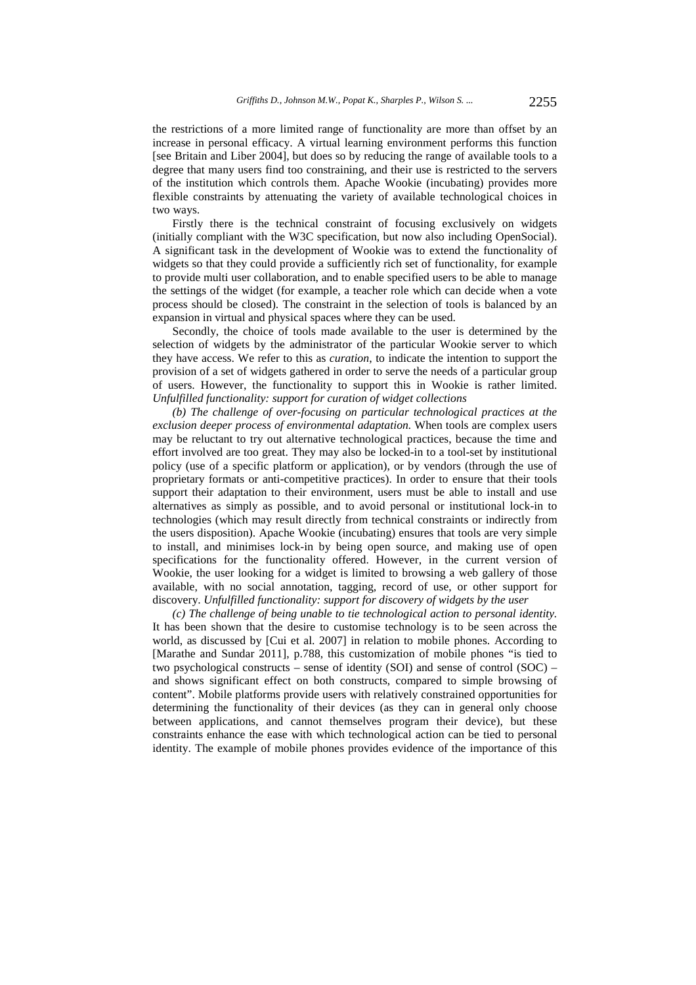the restrictions of a more limited range of functionality are more than offset by an increase in personal efficacy. A virtual learning environment performs this function [see Britain and Liber 2004], but does so by reducing the range of available tools to a degree that many users find too constraining, and their use is restricted to the servers of the institution which controls them. Apache Wookie (incubating) provides more flexible constraints by attenuating the variety of available technological choices in two ways.

Firstly there is the technical constraint of focusing exclusively on widgets (initially compliant with the W3C specification, but now also including OpenSocial). A significant task in the development of Wookie was to extend the functionality of widgets so that they could provide a sufficiently rich set of functionality, for example to provide multi user collaboration, and to enable specified users to be able to manage the settings of the widget (for example, a teacher role which can decide when a vote process should be closed). The constraint in the selection of tools is balanced by an expansion in virtual and physical spaces where they can be used.

Secondly, the choice of tools made available to the user is determined by the selection of widgets by the administrator of the particular Wookie server to which they have access. We refer to this as *curation*, to indicate the intention to support the provision of a set of widgets gathered in order to serve the needs of a particular group of users. However, the functionality to support this in Wookie is rather limited. *Unfulfilled functionality: support for curation of widget collections* 

*(b) The challenge of over-focusing on particular technological practices at the exclusion deeper process of environmental adaptation.* When tools are complex users may be reluctant to try out alternative technological practices, because the time and effort involved are too great. They may also be locked-in to a tool-set by institutional policy (use of a specific platform or application), or by vendors (through the use of proprietary formats or anti-competitive practices). In order to ensure that their tools support their adaptation to their environment, users must be able to install and use alternatives as simply as possible, and to avoid personal or institutional lock-in to technologies (which may result directly from technical constraints or indirectly from the users disposition). Apache Wookie (incubating) ensures that tools are very simple to install, and minimises lock-in by being open source, and making use of open specifications for the functionality offered. However, in the current version of Wookie, the user looking for a widget is limited to browsing a web gallery of those available, with no social annotation, tagging, record of use, or other support for discovery. *Unfulfilled functionality: support for discovery of widgets by the user* 

*(c) The challenge of being unable to tie technological action to personal identity.*  It has been shown that the desire to customise technology is to be seen across the world, as discussed by [Cui et al. 2007] in relation to mobile phones. According to [Marathe and Sundar 2011], p.788, this customization of mobile phones "is tied to two psychological constructs – sense of identity (SOI) and sense of control (SOC) – and shows significant effect on both constructs, compared to simple browsing of content". Mobile platforms provide users with relatively constrained opportunities for determining the functionality of their devices (as they can in general only choose between applications, and cannot themselves program their device), but these constraints enhance the ease with which technological action can be tied to personal identity. The example of mobile phones provides evidence of the importance of this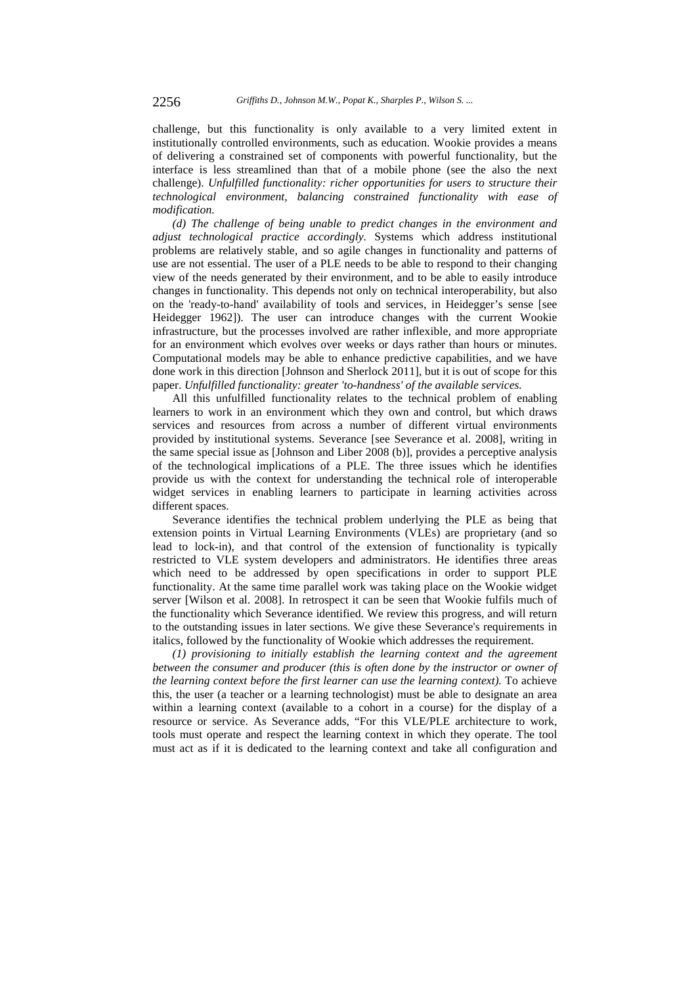challenge, but this functionality is only available to a very limited extent in institutionally controlled environments, such as education. Wookie provides a means of delivering a constrained set of components with powerful functionality, but the interface is less streamlined than that of a mobile phone (see the also the next challenge). *Unfulfilled functionality: richer opportunities for users to structure their technological environment, balancing constrained functionality with ease of modification.* 

*(d) The challenge of being unable to predict changes in the environment and adjust technological practice accordingly.* Systems which address institutional problems are relatively stable, and so agile changes in functionality and patterns of use are not essential. The user of a PLE needs to be able to respond to their changing view of the needs generated by their environment, and to be able to easily introduce changes in functionality. This depends not only on technical interoperability, but also on the 'ready-to-hand' availability of tools and services, in Heidegger's sense [see Heidegger 1962]). The user can introduce changes with the current Wookie infrastructure, but the processes involved are rather inflexible, and more appropriate for an environment which evolves over weeks or days rather than hours or minutes. Computational models may be able to enhance predictive capabilities, and we have done work in this direction [Johnson and Sherlock 2011], but it is out of scope for this paper. *Unfulfilled functionality: greater 'to-handness' of the available services.* 

All this unfulfilled functionality relates to the technical problem of enabling learners to work in an environment which they own and control, but which draws services and resources from across a number of different virtual environments provided by institutional systems. Severance [see Severance et al. 2008], writing in the same special issue as [Johnson and Liber 2008 (b)], provides a perceptive analysis of the technological implications of a PLE. The three issues which he identifies provide us with the context for understanding the technical role of interoperable widget services in enabling learners to participate in learning activities across different spaces.

Severance identifies the technical problem underlying the PLE as being that extension points in Virtual Learning Environments (VLEs) are proprietary (and so lead to lock-in), and that control of the extension of functionality is typically restricted to VLE system developers and administrators. He identifies three areas which need to be addressed by open specifications in order to support PLE functionality. At the same time parallel work was taking place on the Wookie widget server [Wilson et al. 2008]. In retrospect it can be seen that Wookie fulfils much of the functionality which Severance identified. We review this progress, and will return to the outstanding issues in later sections. We give these Severance's requirements in italics, followed by the functionality of Wookie which addresses the requirement.

*(1) provisioning to initially establish the learning context and the agreement between the consumer and producer (this is often done by the instructor or owner of the learning context before the first learner can use the learning context).* To achieve this, the user (a teacher or a learning technologist) must be able to designate an area within a learning context (available to a cohort in a course) for the display of a resource or service. As Severance adds, "For this VLE/PLE architecture to work, tools must operate and respect the learning context in which they operate. The tool must act as if it is dedicated to the learning context and take all configuration and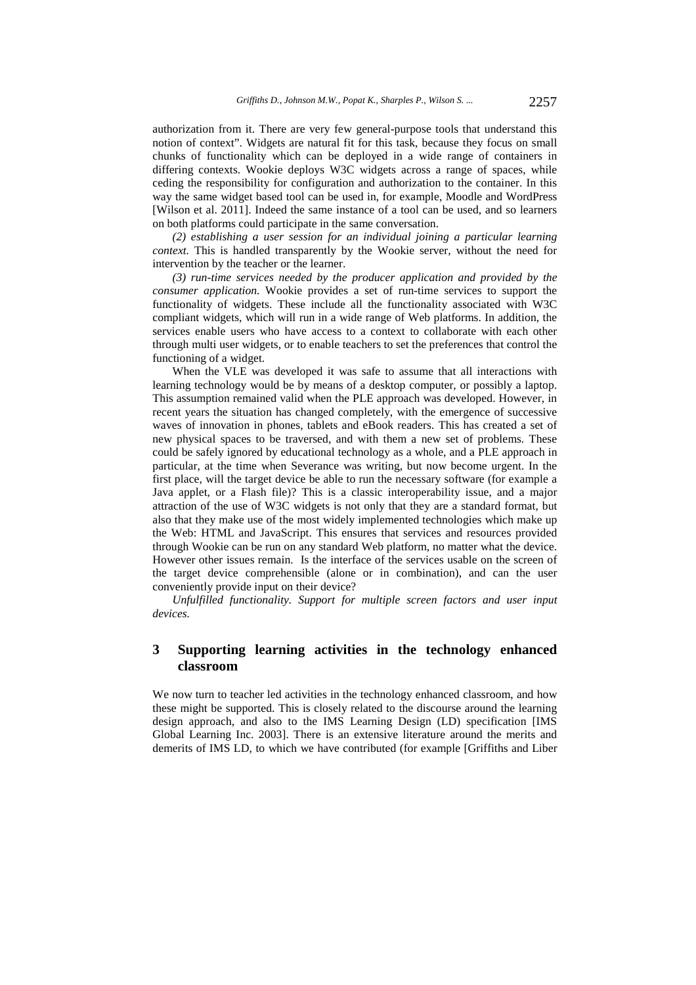authorization from it. There are very few general-purpose tools that understand this notion of context". Widgets are natural fit for this task, because they focus on small chunks of functionality which can be deployed in a wide range of containers in differing contexts. Wookie deploys W3C widgets across a range of spaces, while ceding the responsibility for configuration and authorization to the container. In this way the same widget based tool can be used in, for example, Moodle and WordPress [Wilson et al. 2011]. Indeed the same instance of a tool can be used, and so learners on both platforms could participate in the same conversation.

*(2) establishing a user session for an individual joining a particular learning context.* This is handled transparently by the Wookie server, without the need for intervention by the teacher or the learner.

*(3) run-time services needed by the producer application and provided by the consumer application.* Wookie provides a set of run-time services to support the functionality of widgets. These include all the functionality associated with W3C compliant widgets, which will run in a wide range of Web platforms. In addition, the services enable users who have access to a context to collaborate with each other through multi user widgets, or to enable teachers to set the preferences that control the functioning of a widget.

When the VLE was developed it was safe to assume that all interactions with learning technology would be by means of a desktop computer, or possibly a laptop. This assumption remained valid when the PLE approach was developed. However, in recent years the situation has changed completely, with the emergence of successive waves of innovation in phones, tablets and eBook readers. This has created a set of new physical spaces to be traversed, and with them a new set of problems. These could be safely ignored by educational technology as a whole, and a PLE approach in particular, at the time when Severance was writing, but now become urgent. In the first place, will the target device be able to run the necessary software (for example a Java applet, or a Flash file)? This is a classic interoperability issue, and a major attraction of the use of W3C widgets is not only that they are a standard format, but also that they make use of the most widely implemented technologies which make up the Web: HTML and JavaScript. This ensures that services and resources provided through Wookie can be run on any standard Web platform, no matter what the device. However other issues remain. Is the interface of the services usable on the screen of the target device comprehensible (alone or in combination), and can the user conveniently provide input on their device?

*Unfulfilled functionality. Support for multiple screen factors and user input devices.* 

# **3 Supporting learning activities in the technology enhanced classroom**

We now turn to teacher led activities in the technology enhanced classroom, and how these might be supported. This is closely related to the discourse around the learning design approach, and also to the IMS Learning Design (LD) specification [IMS Global Learning Inc. 2003]. There is an extensive literature around the merits and demerits of IMS LD, to which we have contributed (for example [Griffiths and Liber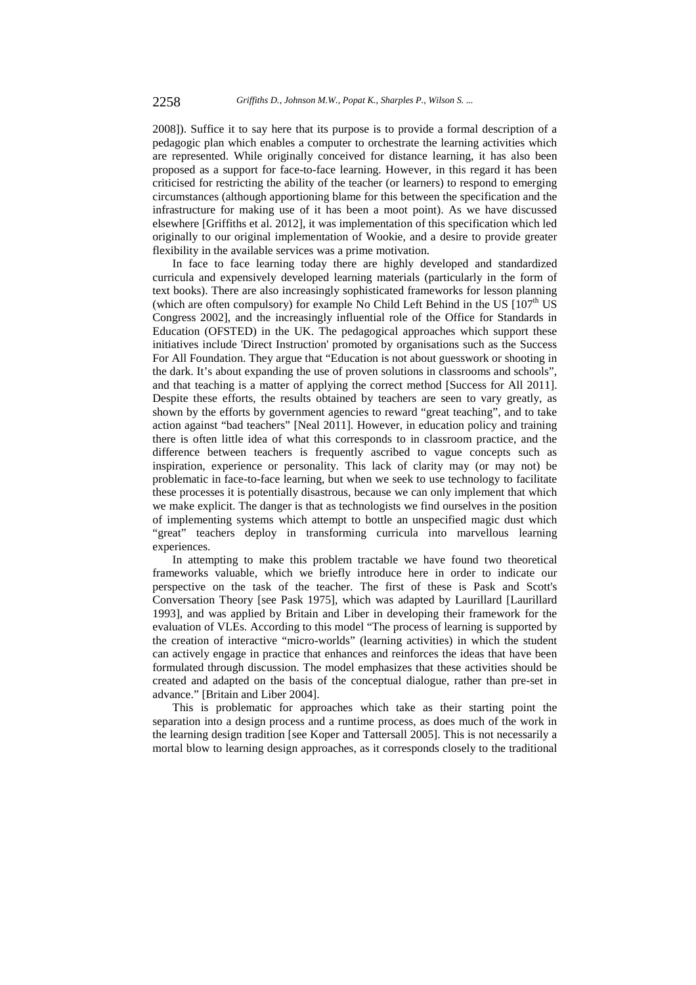2008]). Suffice it to say here that its purpose is to provide a formal description of a pedagogic plan which enables a computer to orchestrate the learning activities which are represented. While originally conceived for distance learning, it has also been proposed as a support for face-to-face learning. However, in this regard it has been criticised for restricting the ability of the teacher (or learners) to respond to emerging circumstances (although apportioning blame for this between the specification and the infrastructure for making use of it has been a moot point). As we have discussed elsewhere [Griffiths et al. 2012], it was implementation of this specification which led originally to our original implementation of Wookie, and a desire to provide greater flexibility in the available services was a prime motivation.

In face to face learning today there are highly developed and standardized curricula and expensively developed learning materials (particularly in the form of text books). There are also increasingly sophisticated frameworks for lesson planning (which are often compulsory) for example No Child Left Behind in the US  $[107<sup>th</sup>$  US Congress 2002], and the increasingly influential role of the Office for Standards in Education (OFSTED) in the UK. The pedagogical approaches which support these initiatives include 'Direct Instruction' promoted by organisations such as the Success For All Foundation. They argue that "Education is not about guesswork or shooting in the dark. It's about expanding the use of proven solutions in classrooms and schools", and that teaching is a matter of applying the correct method [Success for All 2011]. Despite these efforts, the results obtained by teachers are seen to vary greatly, as shown by the efforts by government agencies to reward "great teaching", and to take action against "bad teachers" [Neal 2011]. However, in education policy and training there is often little idea of what this corresponds to in classroom practice, and the difference between teachers is frequently ascribed to vague concepts such as inspiration, experience or personality. This lack of clarity may (or may not) be problematic in face-to-face learning, but when we seek to use technology to facilitate these processes it is potentially disastrous, because we can only implement that which we make explicit. The danger is that as technologists we find ourselves in the position of implementing systems which attempt to bottle an unspecified magic dust which "great" teachers deploy in transforming curricula into marvellous learning experiences.

In attempting to make this problem tractable we have found two theoretical frameworks valuable, which we briefly introduce here in order to indicate our perspective on the task of the teacher. The first of these is Pask and Scott's Conversation Theory [see Pask 1975], which was adapted by Laurillard [Laurillard 1993], and was applied by Britain and Liber in developing their framework for the evaluation of VLEs. According to this model "The process of learning is supported by the creation of interactive "micro-worlds" (learning activities) in which the student can actively engage in practice that enhances and reinforces the ideas that have been formulated through discussion. The model emphasizes that these activities should be created and adapted on the basis of the conceptual dialogue, rather than pre-set in advance." [Britain and Liber 2004].

This is problematic for approaches which take as their starting point the separation into a design process and a runtime process, as does much of the work in the learning design tradition [see Koper and Tattersall 2005]. This is not necessarily a mortal blow to learning design approaches, as it corresponds closely to the traditional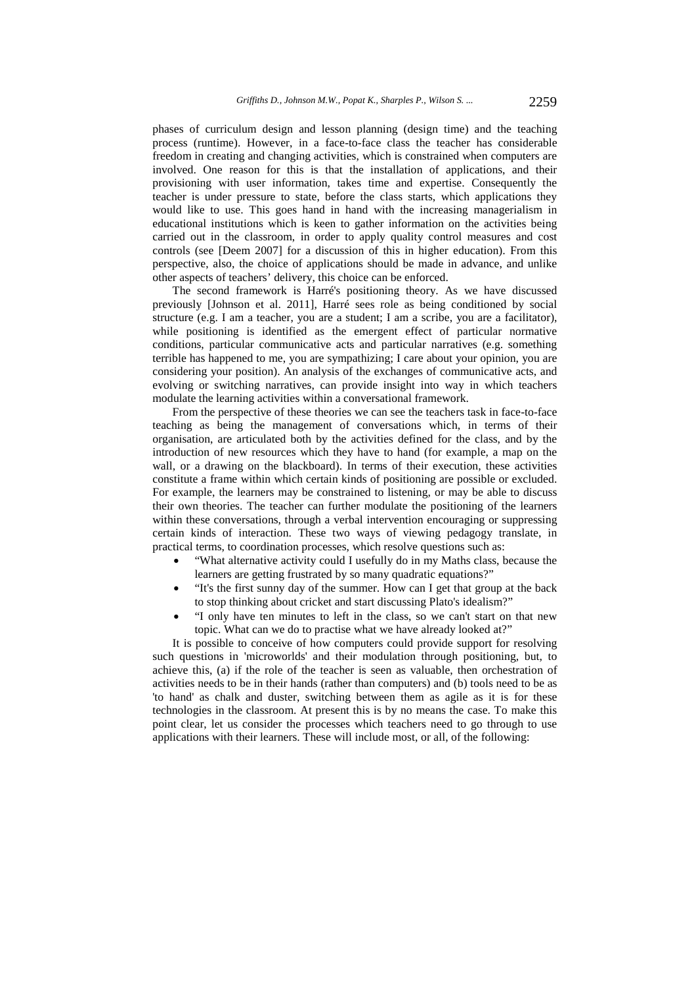phases of curriculum design and lesson planning (design time) and the teaching process (runtime). However, in a face-to-face class the teacher has considerable freedom in creating and changing activities, which is constrained when computers are involved. One reason for this is that the installation of applications, and their provisioning with user information, takes time and expertise. Consequently the teacher is under pressure to state, before the class starts, which applications they would like to use. This goes hand in hand with the increasing managerialism in educational institutions which is keen to gather information on the activities being carried out in the classroom, in order to apply quality control measures and cost controls (see [Deem 2007] for a discussion of this in higher education). From this perspective, also, the choice of applications should be made in advance, and unlike other aspects of teachers' delivery, this choice can be enforced.

The second framework is Harré's positioning theory. As we have discussed previously [Johnson et al. 2011], Harré sees role as being conditioned by social structure (e.g. I am a teacher, you are a student; I am a scribe, you are a facilitator), while positioning is identified as the emergent effect of particular normative conditions, particular communicative acts and particular narratives (e.g. something terrible has happened to me, you are sympathizing; I care about your opinion, you are considering your position). An analysis of the exchanges of communicative acts, and evolving or switching narratives, can provide insight into way in which teachers modulate the learning activities within a conversational framework.

From the perspective of these theories we can see the teachers task in face-to-face teaching as being the management of conversations which, in terms of their organisation, are articulated both by the activities defined for the class, and by the introduction of new resources which they have to hand (for example, a map on the wall, or a drawing on the blackboard). In terms of their execution, these activities constitute a frame within which certain kinds of positioning are possible or excluded. For example, the learners may be constrained to listening, or may be able to discuss their own theories. The teacher can further modulate the positioning of the learners within these conversations, through a verbal intervention encouraging or suppressing certain kinds of interaction. These two ways of viewing pedagogy translate, in practical terms, to coordination processes, which resolve questions such as:

- "What alternative activity could I usefully do in my Maths class, because the learners are getting frustrated by so many quadratic equations?"
- "It's the first sunny day of the summer. How can I get that group at the back to stop thinking about cricket and start discussing Plato's idealism?"
- "I only have ten minutes to left in the class, so we can't start on that new topic. What can we do to practise what we have already looked at?"

It is possible to conceive of how computers could provide support for resolving such questions in 'microworlds' and their modulation through positioning, but, to achieve this, (a) if the role of the teacher is seen as valuable, then orchestration of activities needs to be in their hands (rather than computers) and (b) tools need to be as 'to hand' as chalk and duster, switching between them as agile as it is for these technologies in the classroom. At present this is by no means the case. To make this point clear, let us consider the processes which teachers need to go through to use applications with their learners. These will include most, or all, of the following: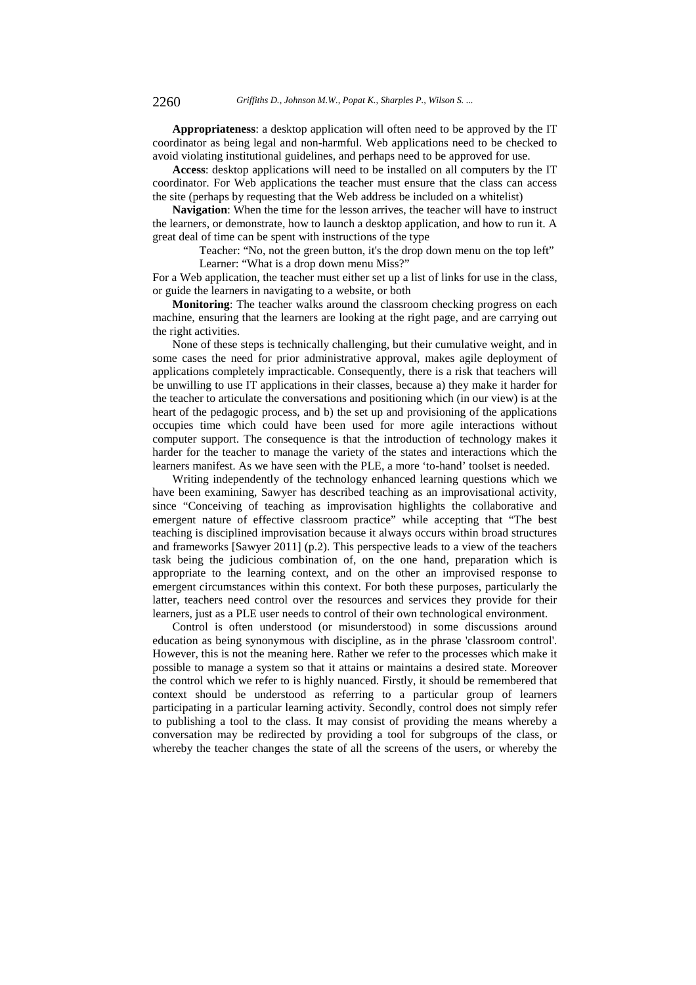**Appropriateness**: a desktop application will often need to be approved by the IT coordinator as being legal and non-harmful. Web applications need to be checked to avoid violating institutional guidelines, and perhaps need to be approved for use.

**Access**: desktop applications will need to be installed on all computers by the IT coordinator. For Web applications the teacher must ensure that the class can access the site (perhaps by requesting that the Web address be included on a whitelist)

**Navigation**: When the time for the lesson arrives, the teacher will have to instruct the learners, or demonstrate, how to launch a desktop application, and how to run it. A great deal of time can be spent with instructions of the type

Teacher: "No, not the green button, it's the drop down menu on the top left" Learner: "What is a drop down menu Miss?"

For a Web application, the teacher must either set up a list of links for use in the class, or guide the learners in navigating to a website, or both

**Monitoring**: The teacher walks around the classroom checking progress on each machine, ensuring that the learners are looking at the right page, and are carrying out the right activities.

None of these steps is technically challenging, but their cumulative weight, and in some cases the need for prior administrative approval, makes agile deployment of applications completely impracticable. Consequently, there is a risk that teachers will be unwilling to use IT applications in their classes, because a) they make it harder for the teacher to articulate the conversations and positioning which (in our view) is at the heart of the pedagogic process, and b) the set up and provisioning of the applications occupies time which could have been used for more agile interactions without computer support. The consequence is that the introduction of technology makes it harder for the teacher to manage the variety of the states and interactions which the learners manifest. As we have seen with the PLE, a more 'to-hand' toolset is needed.

Writing independently of the technology enhanced learning questions which we have been examining, Sawyer has described teaching as an improvisational activity, since "Conceiving of teaching as improvisation highlights the collaborative and emergent nature of effective classroom practice" while accepting that "The best teaching is disciplined improvisation because it always occurs within broad structures and frameworks [Sawyer 2011] (p.2). This perspective leads to a view of the teachers task being the judicious combination of, on the one hand, preparation which is appropriate to the learning context, and on the other an improvised response to emergent circumstances within this context. For both these purposes, particularly the latter, teachers need control over the resources and services they provide for their learners, just as a PLE user needs to control of their own technological environment.

Control is often understood (or misunderstood) in some discussions around education as being synonymous with discipline, as in the phrase 'classroom control'. However, this is not the meaning here. Rather we refer to the processes which make it possible to manage a system so that it attains or maintains a desired state. Moreover the control which we refer to is highly nuanced. Firstly, it should be remembered that context should be understood as referring to a particular group of learners participating in a particular learning activity. Secondly, control does not simply refer to publishing a tool to the class. It may consist of providing the means whereby a conversation may be redirected by providing a tool for subgroups of the class, or whereby the teacher changes the state of all the screens of the users, or whereby the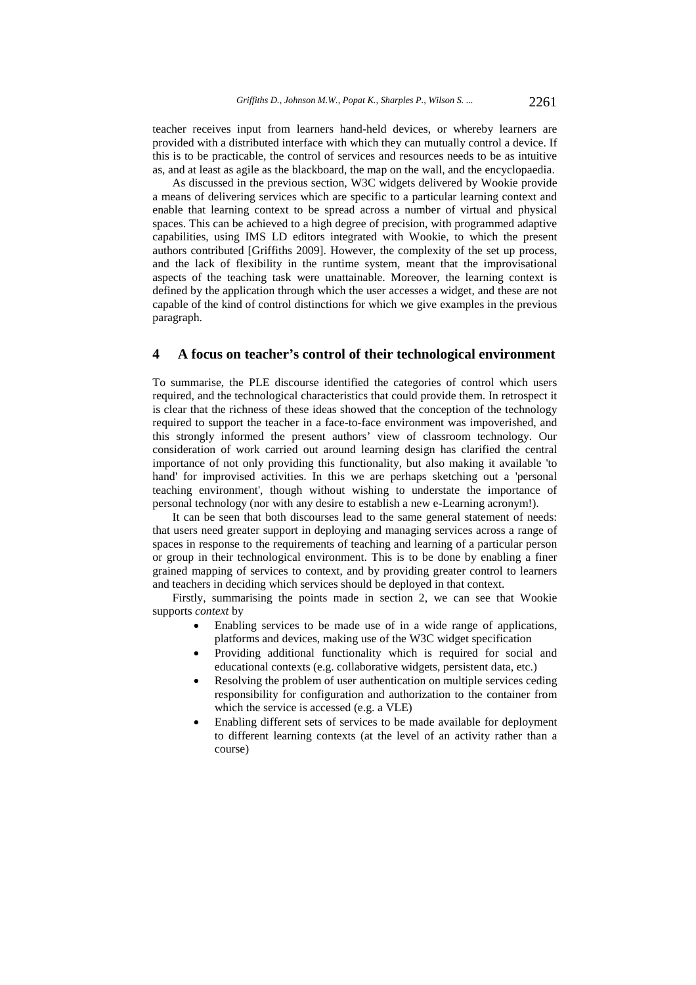teacher receives input from learners hand-held devices, or whereby learners are provided with a distributed interface with which they can mutually control a device. If this is to be practicable, the control of services and resources needs to be as intuitive as, and at least as agile as the blackboard, the map on the wall, and the encyclopaedia.

As discussed in the previous section, W3C widgets delivered by Wookie provide a means of delivering services which are specific to a particular learning context and enable that learning context to be spread across a number of virtual and physical spaces. This can be achieved to a high degree of precision, with programmed adaptive capabilities, using IMS LD editors integrated with Wookie, to which the present authors contributed [Griffiths 2009]. However, the complexity of the set up process, and the lack of flexibility in the runtime system, meant that the improvisational aspects of the teaching task were unattainable. Moreover, the learning context is defined by the application through which the user accesses a widget, and these are not capable of the kind of control distinctions for which we give examples in the previous paragraph.

## **4 A focus on teacher's control of their technological environment**

To summarise, the PLE discourse identified the categories of control which users required, and the technological characteristics that could provide them. In retrospect it is clear that the richness of these ideas showed that the conception of the technology required to support the teacher in a face-to-face environment was impoverished, and this strongly informed the present authors' view of classroom technology. Our consideration of work carried out around learning design has clarified the central importance of not only providing this functionality, but also making it available 'to hand' for improvised activities. In this we are perhaps sketching out a 'personal teaching environment', though without wishing to understate the importance of personal technology (nor with any desire to establish a new e-Learning acronym!).

It can be seen that both discourses lead to the same general statement of needs: that users need greater support in deploying and managing services across a range of spaces in response to the requirements of teaching and learning of a particular person or group in their technological environment. This is to be done by enabling a finer grained mapping of services to context, and by providing greater control to learners and teachers in deciding which services should be deployed in that context.

Firstly, summarising the points made in section 2, we can see that Wookie supports *context* by

- Enabling services to be made use of in a wide range of applications, platforms and devices, making use of the W3C widget specification
- Providing additional functionality which is required for social and educational contexts (e.g. collaborative widgets, persistent data, etc.)
- Resolving the problem of user authentication on multiple services ceding responsibility for configuration and authorization to the container from which the service is accessed (e.g. a VLE)
- Enabling different sets of services to be made available for deployment to different learning contexts (at the level of an activity rather than a course)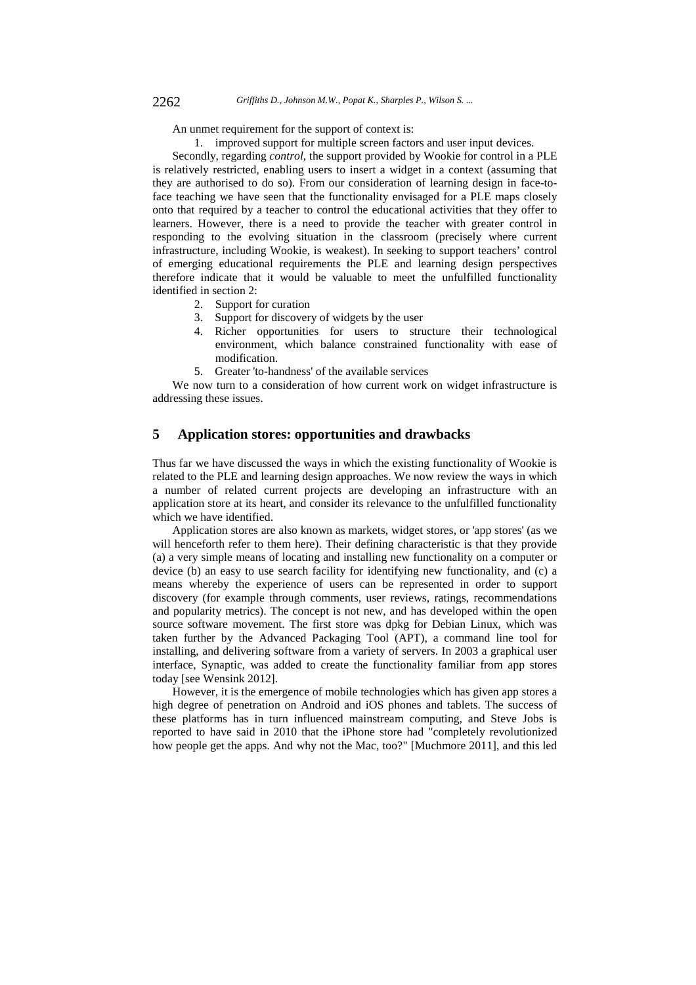An unmet requirement for the support of context is:

1. improved support for multiple screen factors and user input devices.

Secondly, regarding *control*, the support provided by Wookie for control in a PLE is relatively restricted, enabling users to insert a widget in a context (assuming that they are authorised to do so). From our consideration of learning design in face-toface teaching we have seen that the functionality envisaged for a PLE maps closely onto that required by a teacher to control the educational activities that they offer to learners. However, there is a need to provide the teacher with greater control in responding to the evolving situation in the classroom (precisely where current infrastructure, including Wookie, is weakest). In seeking to support teachers' control of emerging educational requirements the PLE and learning design perspectives therefore indicate that it would be valuable to meet the unfulfilled functionality identified in section 2:

- 2. Support for curation
- 3. Support for discovery of widgets by the user
- 4. Richer opportunities for users to structure their technological environment, which balance constrained functionality with ease of modification.
- 5. Greater 'to-handness' of the available services

We now turn to a consideration of how current work on widget infrastructure is addressing these issues.

# **5 Application stores: opportunities and drawbacks**

Thus far we have discussed the ways in which the existing functionality of Wookie is related to the PLE and learning design approaches. We now review the ways in which a number of related current projects are developing an infrastructure with an application store at its heart, and consider its relevance to the unfulfilled functionality which we have identified.

Application stores are also known as markets, widget stores, or 'app stores' (as we will henceforth refer to them here). Their defining characteristic is that they provide (a) a very simple means of locating and installing new functionality on a computer or device (b) an easy to use search facility for identifying new functionality, and (c) a means whereby the experience of users can be represented in order to support discovery (for example through comments, user reviews, ratings, recommendations and popularity metrics). The concept is not new, and has developed within the open source software movement. The first store was dpkg for Debian Linux, which was taken further by the Advanced Packaging Tool (APT), a command line tool for installing, and delivering software from a variety of servers. In 2003 a graphical user interface, Synaptic, was added to create the functionality familiar from app stores today [see Wensink 2012].

However, it is the emergence of mobile technologies which has given app stores a high degree of penetration on Android and iOS phones and tablets. The success of these platforms has in turn influenced mainstream computing, and Steve Jobs is reported to have said in 2010 that the iPhone store had "completely revolutionized how people get the apps. And why not the Mac, too?" [Muchmore 2011], and this led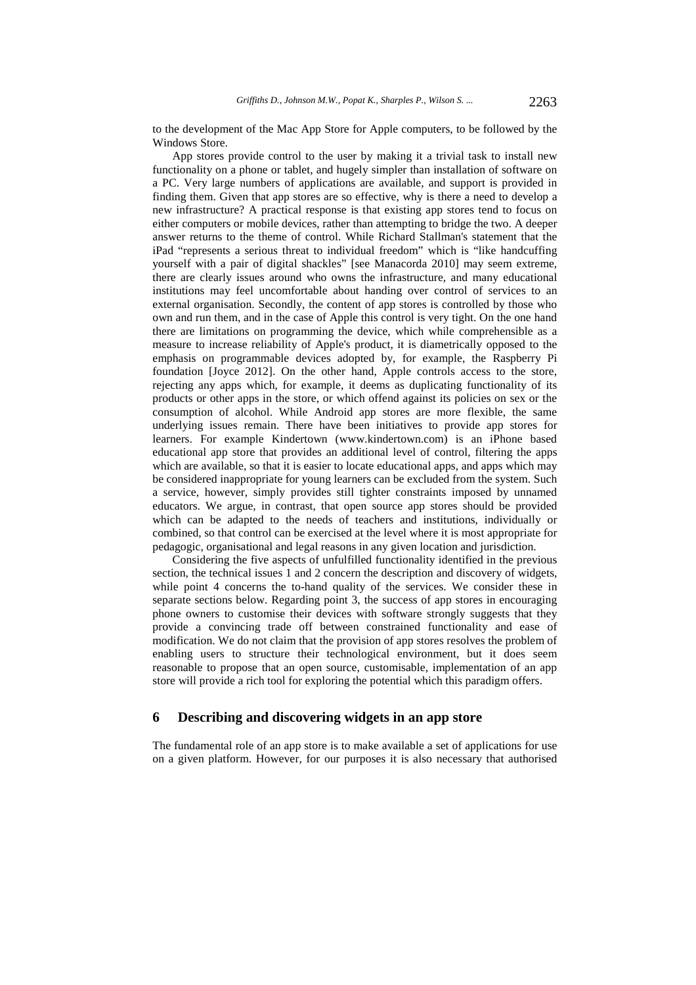to the development of the Mac App Store for Apple computers, to be followed by the Windows Store.

App stores provide control to the user by making it a trivial task to install new functionality on a phone or tablet, and hugely simpler than installation of software on a PC. Very large numbers of applications are available, and support is provided in finding them. Given that app stores are so effective, why is there a need to develop a new infrastructure? A practical response is that existing app stores tend to focus on either computers or mobile devices, rather than attempting to bridge the two. A deeper answer returns to the theme of control. While Richard Stallman's statement that the iPad "represents a serious threat to individual freedom" which is "like handcuffing yourself with a pair of digital shackles" [see Manacorda 2010] may seem extreme, there are clearly issues around who owns the infrastructure, and many educational institutions may feel uncomfortable about handing over control of services to an external organisation. Secondly, the content of app stores is controlled by those who own and run them, and in the case of Apple this control is very tight. On the one hand there are limitations on programming the device, which while comprehensible as a measure to increase reliability of Apple's product, it is diametrically opposed to the emphasis on programmable devices adopted by, for example, the Raspberry Pi foundation [Joyce 2012]. On the other hand, Apple controls access to the store, rejecting any apps which, for example, it deems as duplicating functionality of its products or other apps in the store, or which offend against its policies on sex or the consumption of alcohol. While Android app stores are more flexible, the same underlying issues remain. There have been initiatives to provide app stores for learners. For example Kindertown (www.kindertown.com) is an iPhone based educational app store that provides an additional level of control, filtering the apps which are available, so that it is easier to locate educational apps, and apps which may be considered inappropriate for young learners can be excluded from the system. Such a service, however, simply provides still tighter constraints imposed by unnamed educators. We argue, in contrast, that open source app stores should be provided which can be adapted to the needs of teachers and institutions, individually or combined, so that control can be exercised at the level where it is most appropriate for pedagogic, organisational and legal reasons in any given location and jurisdiction.

Considering the five aspects of unfulfilled functionality identified in the previous section, the technical issues 1 and 2 concern the description and discovery of widgets, while point 4 concerns the to-hand quality of the services. We consider these in separate sections below. Regarding point 3, the success of app stores in encouraging phone owners to customise their devices with software strongly suggests that they provide a convincing trade off between constrained functionality and ease of modification. We do not claim that the provision of app stores resolves the problem of enabling users to structure their technological environment, but it does seem reasonable to propose that an open source, customisable, implementation of an app store will provide a rich tool for exploring the potential which this paradigm offers.

# **6 Describing and discovering widgets in an app store**

The fundamental role of an app store is to make available a set of applications for use on a given platform. However, for our purposes it is also necessary that authorised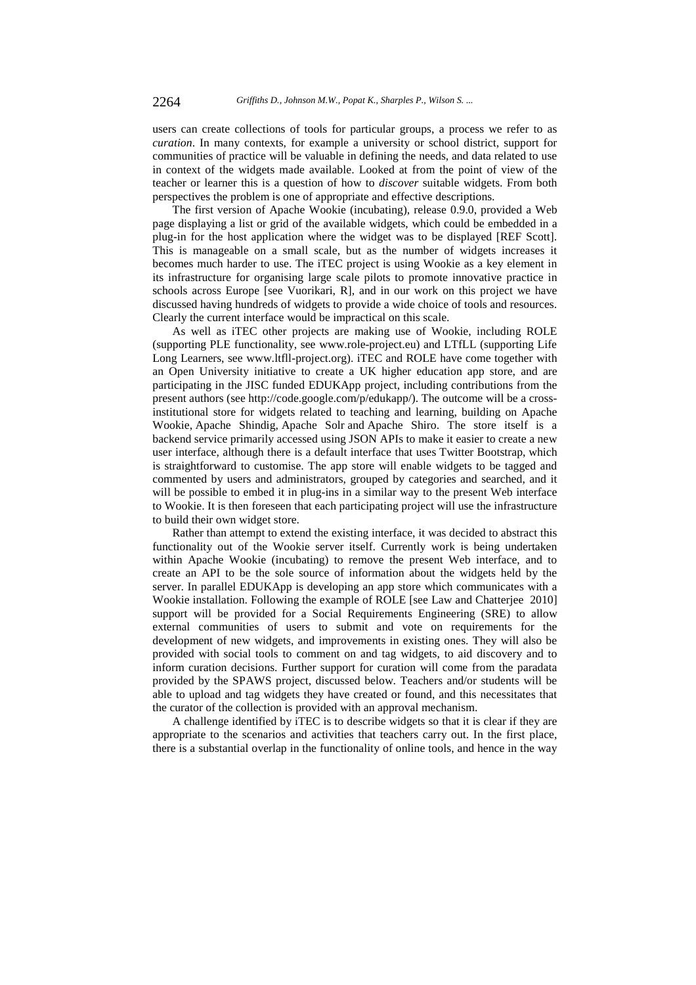users can create collections of tools for particular groups, a process we refer to as *curation*. In many contexts, for example a university or school district, support for communities of practice will be valuable in defining the needs, and data related to use in context of the widgets made available. Looked at from the point of view of the teacher or learner this is a question of how to *discover* suitable widgets. From both perspectives the problem is one of appropriate and effective descriptions.

The first version of Apache Wookie (incubating), release 0.9.0, provided a Web page displaying a list or grid of the available widgets, which could be embedded in a plug-in for the host application where the widget was to be displayed [REF Scott]. This is manageable on a small scale, but as the number of widgets increases it becomes much harder to use. The iTEC project is using Wookie as a key element in its infrastructure for organising large scale pilots to promote innovative practice in schools across Europe [see Vuorikari, R], and in our work on this project we have discussed having hundreds of widgets to provide a wide choice of tools and resources. Clearly the current interface would be impractical on this scale.

As well as iTEC other projects are making use of Wookie, including ROLE (supporting PLE functionality, see www.role-project.eu) and LTfLL (supporting Life Long Learners, see www.ltfll-project.org). iTEC and ROLE have come together with an Open University initiative to create a UK higher education app store, and are participating in the JISC funded EDUKApp project, including contributions from the present authors (see http://code.google.com/p/edukapp/). The outcome will be a crossinstitutional store for widgets related to teaching and learning, building on Apache Wookie, Apache Shindig, Apache Solr and Apache Shiro. The store itself is a backend service primarily accessed using JSON APIs to make it easier to create a new user interface, although there is a default interface that uses Twitter Bootstrap, which is straightforward to customise. The app store will enable widgets to be tagged and commented by users and administrators, grouped by categories and searched, and it will be possible to embed it in plug-ins in a similar way to the present Web interface to Wookie. It is then foreseen that each participating project will use the infrastructure to build their own widget store.

Rather than attempt to extend the existing interface, it was decided to abstract this functionality out of the Wookie server itself. Currently work is being undertaken within Apache Wookie (incubating) to remove the present Web interface, and to create an API to be the sole source of information about the widgets held by the server. In parallel EDUKApp is developing an app store which communicates with a Wookie installation. Following the example of ROLE [see Law and Chatterjee 2010] support will be provided for a Social Requirements Engineering (SRE) to allow external communities of users to submit and vote on requirements for the development of new widgets, and improvements in existing ones. They will also be provided with social tools to comment on and tag widgets, to aid discovery and to inform curation decisions. Further support for curation will come from the paradata provided by the SPAWS project, discussed below. Teachers and/or students will be able to upload and tag widgets they have created or found, and this necessitates that the curator of the collection is provided with an approval mechanism.

A challenge identified by iTEC is to describe widgets so that it is clear if they are appropriate to the scenarios and activities that teachers carry out. In the first place, there is a substantial overlap in the functionality of online tools, and hence in the way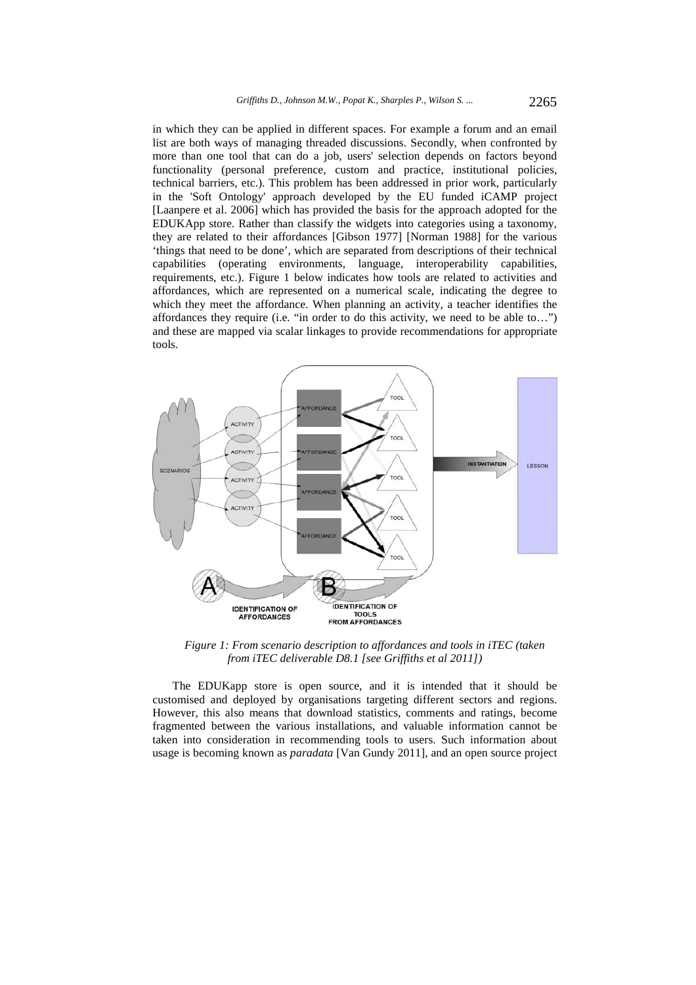in which they can be applied in different spaces. For example a forum and an email list are both ways of managing threaded discussions. Secondly, when confronted by more than one tool that can do a job, users' selection depends on factors beyond functionality (personal preference, custom and practice, institutional policies, technical barriers, etc.). This problem has been addressed in prior work, particularly in the 'Soft Ontology' approach developed by the EU funded iCAMP project [Laanpere et al. 2006] which has provided the basis for the approach adopted for the EDUKApp store. Rather than classify the widgets into categories using a taxonomy, they are related to their affordances [Gibson 1977] [Norman 1988] for the various 'things that need to be done', which are separated from descriptions of their technical capabilities (operating environments, language, interoperability capabilities, requirements, etc.). Figure 1 below indicates how tools are related to activities and affordances, which are represented on a numerical scale, indicating the degree to which they meet the affordance. When planning an activity, a teacher identifies the affordances they require (i.e. "in order to do this activity, we need to be able to…") and these are mapped via scalar linkages to provide recommendations for appropriate tools.



*Figure 1: From scenario description to affordances and tools in iTEC (taken from iTEC deliverable D8.1 [see Griffiths et al 2011])* 

The EDUKapp store is open source, and it is intended that it should be customised and deployed by organisations targeting different sectors and regions. However, this also means that download statistics, comments and ratings, become fragmented between the various installations, and valuable information cannot be taken into consideration in recommending tools to users. Such information about usage is becoming known as *paradata* [Van Gundy 2011], and an open source project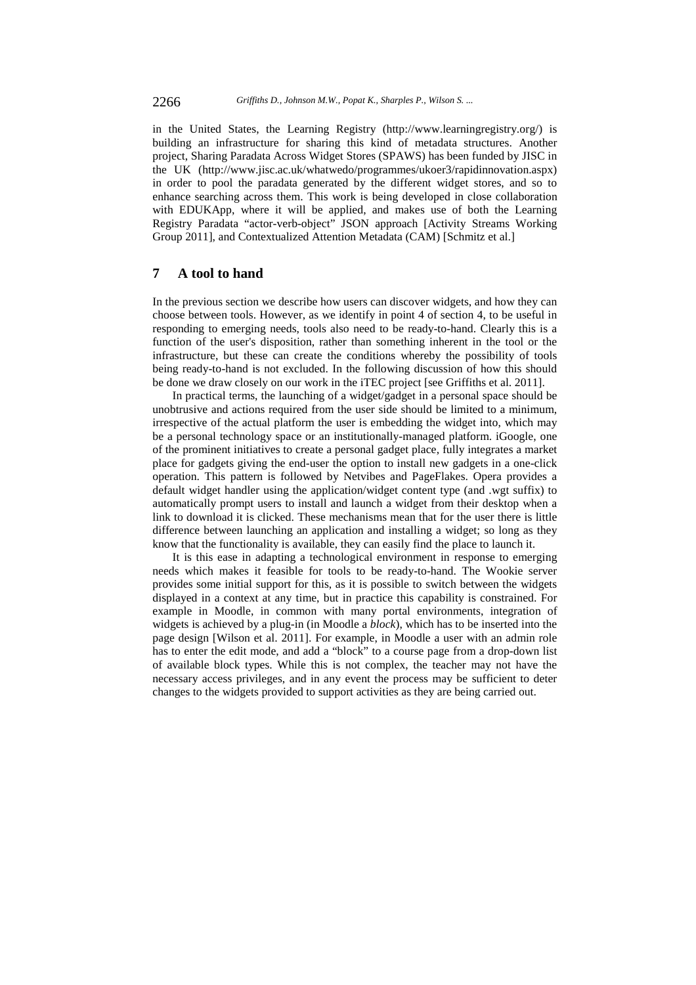in the United States, the Learning Registry (http://www.learningregistry.org/) is building an infrastructure for sharing this kind of metadata structures. Another project, Sharing Paradata Across Widget Stores (SPAWS) has been funded by JISC in the UK (http://www.jisc.ac.uk/whatwedo/programmes/ukoer3/rapidinnovation.aspx) in order to pool the paradata generated by the different widget stores, and so to enhance searching across them. This work is being developed in close collaboration with EDUKApp, where it will be applied, and makes use of both the Learning Registry Paradata "actor-verb-object" JSON approach [Activity Streams Working Group 2011], and Contextualized Attention Metadata (CAM) [Schmitz et al.]

# **7 A tool to hand**

In the previous section we describe how users can discover widgets, and how they can choose between tools. However, as we identify in point 4 of section 4, to be useful in responding to emerging needs, tools also need to be ready-to-hand. Clearly this is a function of the user's disposition, rather than something inherent in the tool or the infrastructure, but these can create the conditions whereby the possibility of tools being ready-to-hand is not excluded. In the following discussion of how this should be done we draw closely on our work in the iTEC project [see Griffiths et al. 2011].

In practical terms, the launching of a widget/gadget in a personal space should be unobtrusive and actions required from the user side should be limited to a minimum, irrespective of the actual platform the user is embedding the widget into, which may be a personal technology space or an institutionally-managed platform. iGoogle, one of the prominent initiatives to create a personal gadget place, fully integrates a market place for gadgets giving the end-user the option to install new gadgets in a one-click operation. This pattern is followed by Netvibes and PageFlakes. Opera provides a default widget handler using the application/widget content type (and .wgt suffix) to automatically prompt users to install and launch a widget from their desktop when a link to download it is clicked. These mechanisms mean that for the user there is little difference between launching an application and installing a widget; so long as they know that the functionality is available, they can easily find the place to launch it.

It is this ease in adapting a technological environment in response to emerging needs which makes it feasible for tools to be ready-to-hand. The Wookie server provides some initial support for this, as it is possible to switch between the widgets displayed in a context at any time, but in practice this capability is constrained. For example in Moodle, in common with many portal environments, integration of widgets is achieved by a plug-in (in Moodle a *block*), which has to be inserted into the page design [Wilson et al. 2011]. For example, in Moodle a user with an admin role has to enter the edit mode, and add a "block" to a course page from a drop-down list of available block types. While this is not complex, the teacher may not have the necessary access privileges, and in any event the process may be sufficient to deter changes to the widgets provided to support activities as they are being carried out.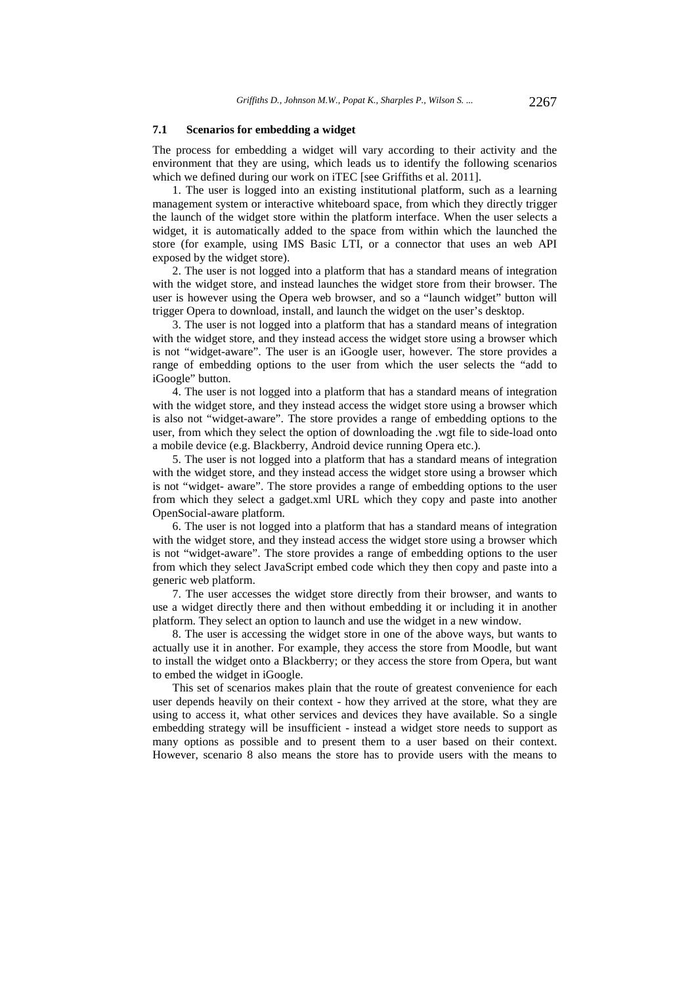#### **7.1 Scenarios for embedding a widget**

The process for embedding a widget will vary according to their activity and the environment that they are using, which leads us to identify the following scenarios which we defined during our work on iTEC [see Griffiths et al. 2011].

1. The user is logged into an existing institutional platform, such as a learning management system or interactive whiteboard space, from which they directly trigger the launch of the widget store within the platform interface. When the user selects a widget, it is automatically added to the space from within which the launched the store (for example, using IMS Basic LTI, or a connector that uses an web API exposed by the widget store).

2. The user is not logged into a platform that has a standard means of integration with the widget store, and instead launches the widget store from their browser. The user is however using the Opera web browser, and so a "launch widget" button will trigger Opera to download, install, and launch the widget on the user's desktop.

3. The user is not logged into a platform that has a standard means of integration with the widget store, and they instead access the widget store using a browser which is not "widget-aware". The user is an iGoogle user, however. The store provides a range of embedding options to the user from which the user selects the "add to iGoogle" button.

4. The user is not logged into a platform that has a standard means of integration with the widget store, and they instead access the widget store using a browser which is also not "widget-aware". The store provides a range of embedding options to the user, from which they select the option of downloading the .wgt file to side-load onto a mobile device (e.g. Blackberry, Android device running Opera etc.).

5. The user is not logged into a platform that has a standard means of integration with the widget store, and they instead access the widget store using a browser which is not "widget- aware". The store provides a range of embedding options to the user from which they select a gadget.xml URL which they copy and paste into another OpenSocial-aware platform.

6. The user is not logged into a platform that has a standard means of integration with the widget store, and they instead access the widget store using a browser which is not "widget-aware". The store provides a range of embedding options to the user from which they select JavaScript embed code which they then copy and paste into a generic web platform.

7. The user accesses the widget store directly from their browser, and wants to use a widget directly there and then without embedding it or including it in another platform. They select an option to launch and use the widget in a new window.

8. The user is accessing the widget store in one of the above ways, but wants to actually use it in another. For example, they access the store from Moodle, but want to install the widget onto a Blackberry; or they access the store from Opera, but want to embed the widget in iGoogle.

This set of scenarios makes plain that the route of greatest convenience for each user depends heavily on their context - how they arrived at the store, what they are using to access it, what other services and devices they have available. So a single embedding strategy will be insufficient - instead a widget store needs to support as many options as possible and to present them to a user based on their context. However, scenario 8 also means the store has to provide users with the means to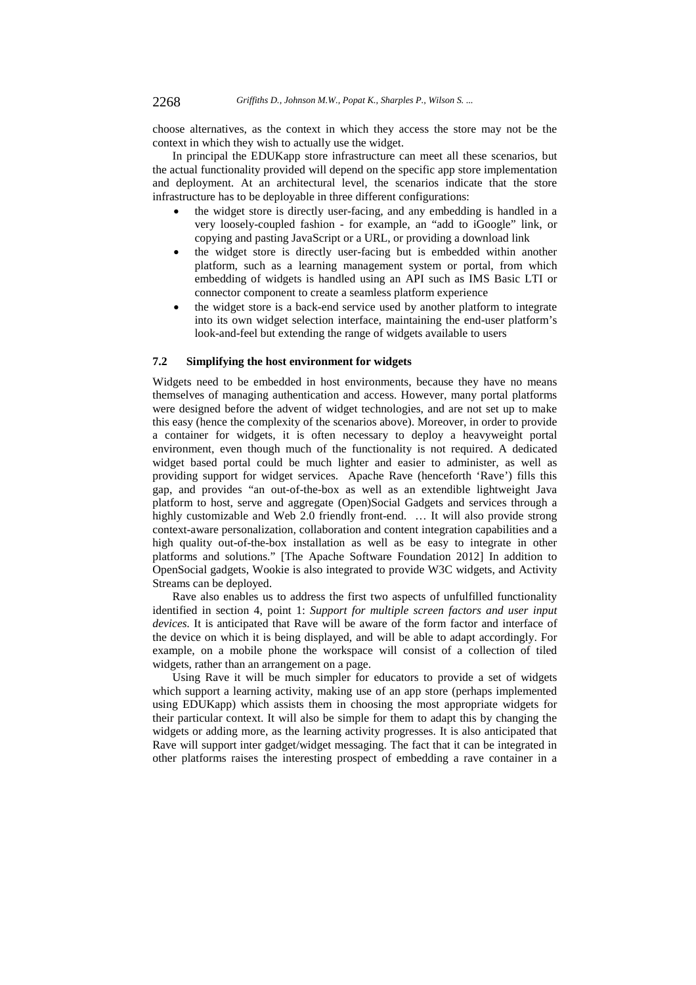choose alternatives, as the context in which they access the store may not be the context in which they wish to actually use the widget.

In principal the EDUKapp store infrastructure can meet all these scenarios, but the actual functionality provided will depend on the specific app store implementation and deployment. At an architectural level, the scenarios indicate that the store infrastructure has to be deployable in three different configurations:

- the widget store is directly user-facing, and any embedding is handled in a very loosely-coupled fashion - for example, an "add to iGoogle" link, or copying and pasting JavaScript or a URL, or providing a download link
- the widget store is directly user-facing but is embedded within another platform, such as a learning management system or portal, from which embedding of widgets is handled using an API such as IMS Basic LTI or connector component to create a seamless platform experience
- the widget store is a back-end service used by another platform to integrate into its own widget selection interface, maintaining the end-user platform's look-and-feel but extending the range of widgets available to users

### **7.2 Simplifying the host environment for widgets**

Widgets need to be embedded in host environments, because they have no means themselves of managing authentication and access. However, many portal platforms were designed before the advent of widget technologies, and are not set up to make this easy (hence the complexity of the scenarios above). Moreover, in order to provide a container for widgets, it is often necessary to deploy a heavyweight portal environment, even though much of the functionality is not required. A dedicated widget based portal could be much lighter and easier to administer, as well as providing support for widget services. Apache Rave (henceforth 'Rave') fills this gap, and provides "an out-of-the-box as well as an extendible lightweight Java platform to host, serve and aggregate (Open)Social Gadgets and services through a highly customizable and Web 2.0 friendly front-end. … It will also provide strong context-aware personalization, collaboration and content integration capabilities and a high quality out-of-the-box installation as well as be easy to integrate in other platforms and solutions." [The Apache Software Foundation 2012] In addition to OpenSocial gadgets, Wookie is also integrated to provide W3C widgets, and Activity Streams can be deployed.

Rave also enables us to address the first two aspects of unfulfilled functionality identified in section 4, point 1: *Support for multiple screen factors and user input devices.* It is anticipated that Rave will be aware of the form factor and interface of the device on which it is being displayed, and will be able to adapt accordingly. For example, on a mobile phone the workspace will consist of a collection of tiled widgets, rather than an arrangement on a page.

Using Rave it will be much simpler for educators to provide a set of widgets which support a learning activity, making use of an app store (perhaps implemented using EDUKapp) which assists them in choosing the most appropriate widgets for their particular context. It will also be simple for them to adapt this by changing the widgets or adding more, as the learning activity progresses. It is also anticipated that Rave will support inter gadget/widget messaging. The fact that it can be integrated in other platforms raises the interesting prospect of embedding a rave container in a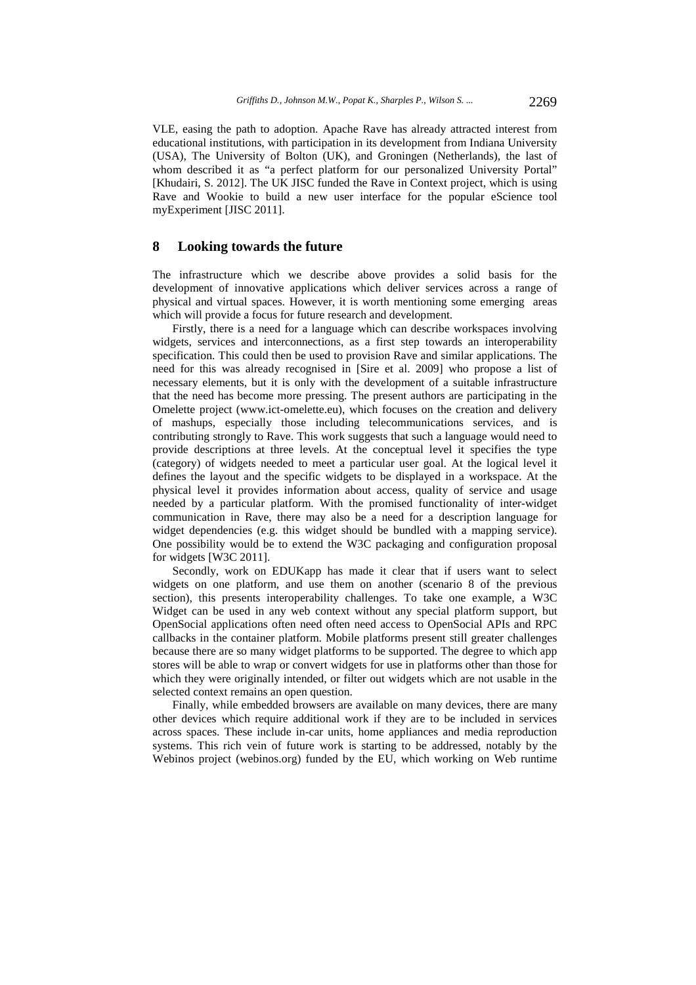VLE, easing the path to adoption. Apache Rave has already attracted interest from educational institutions, with participation in its development from Indiana University (USA), The University of Bolton (UK), and Groningen (Netherlands), the last of whom described it as "a perfect platform for our personalized University Portal" [Khudairi, S. 2012]. The UK JISC funded the Rave in Context project, which is using Rave and Wookie to build a new user interface for the popular eScience tool myExperiment [JISC 2011].

### **8 Looking towards the future**

The infrastructure which we describe above provides a solid basis for the development of innovative applications which deliver services across a range of physical and virtual spaces. However, it is worth mentioning some emerging areas which will provide a focus for future research and development.

Firstly, there is a need for a language which can describe workspaces involving widgets, services and interconnections, as a first step towards an interoperability specification. This could then be used to provision Rave and similar applications. The need for this was already recognised in [Sire et al. 2009] who propose a list of necessary elements, but it is only with the development of a suitable infrastructure that the need has become more pressing. The present authors are participating in the Omelette project (www.ict-omelette.eu), which focuses on the creation and delivery of mashups, especially those including telecommunications services, and is contributing strongly to Rave. This work suggests that such a language would need to provide descriptions at three levels. At the conceptual level it specifies the type (category) of widgets needed to meet a particular user goal. At the logical level it defines the layout and the specific widgets to be displayed in a workspace. At the physical level it provides information about access, quality of service and usage needed by a particular platform. With the promised functionality of inter-widget communication in Rave, there may also be a need for a description language for widget dependencies (e.g. this widget should be bundled with a mapping service). One possibility would be to extend the W3C packaging and configuration proposal for widgets [W3C 2011].

Secondly, work on EDUKapp has made it clear that if users want to select widgets on one platform, and use them on another (scenario 8 of the previous section), this presents interoperability challenges. To take one example, a W3C Widget can be used in any web context without any special platform support, but OpenSocial applications often need often need access to OpenSocial APIs and RPC callbacks in the container platform. Mobile platforms present still greater challenges because there are so many widget platforms to be supported. The degree to which app stores will be able to wrap or convert widgets for use in platforms other than those for which they were originally intended, or filter out widgets which are not usable in the selected context remains an open question.

Finally, while embedded browsers are available on many devices, there are many other devices which require additional work if they are to be included in services across spaces. These include in-car units, home appliances and media reproduction systems. This rich vein of future work is starting to be addressed, notably by the Webinos project (webinos.org) funded by the EU, which working on Web runtime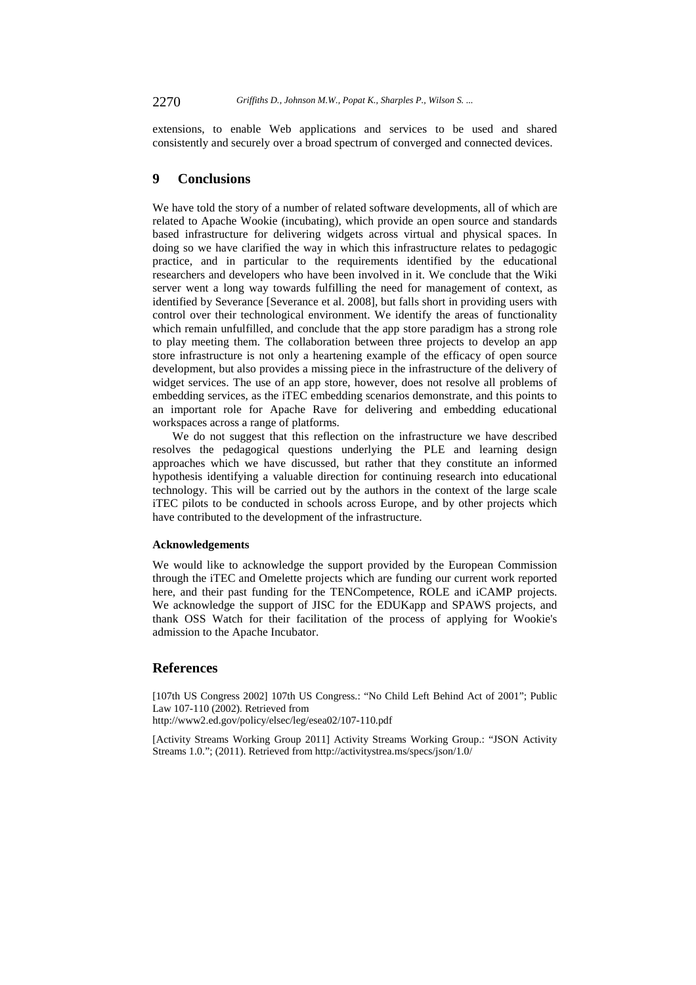extensions, to enable Web applications and services to be used and shared consistently and securely over a broad spectrum of converged and connected devices.

# **9 Conclusions**

We have told the story of a number of related software developments, all of which are related to Apache Wookie (incubating), which provide an open source and standards based infrastructure for delivering widgets across virtual and physical spaces. In doing so we have clarified the way in which this infrastructure relates to pedagogic practice, and in particular to the requirements identified by the educational researchers and developers who have been involved in it. We conclude that the Wiki server went a long way towards fulfilling the need for management of context, as identified by Severance [Severance et al. 2008], but falls short in providing users with control over their technological environment. We identify the areas of functionality which remain unfulfilled, and conclude that the app store paradigm has a strong role to play meeting them. The collaboration between three projects to develop an app store infrastructure is not only a heartening example of the efficacy of open source development, but also provides a missing piece in the infrastructure of the delivery of widget services. The use of an app store, however, does not resolve all problems of embedding services, as the iTEC embedding scenarios demonstrate, and this points to an important role for Apache Rave for delivering and embedding educational workspaces across a range of platforms.

We do not suggest that this reflection on the infrastructure we have described resolves the pedagogical questions underlying the PLE and learning design approaches which we have discussed, but rather that they constitute an informed hypothesis identifying a valuable direction for continuing research into educational technology. This will be carried out by the authors in the context of the large scale iTEC pilots to be conducted in schools across Europe, and by other projects which have contributed to the development of the infrastructure.

## **Acknowledgements**

We would like to acknowledge the support provided by the European Commission through the iTEC and Omelette projects which are funding our current work reported here, and their past funding for the TENCompetence, ROLE and iCAMP projects. We acknowledge the support of JISC for the EDUKapp and SPAWS projects, and thank OSS Watch for their facilitation of the process of applying for Wookie's admission to the Apache Incubator.

# **References**

[107th US Congress 2002] 107th US Congress.: "No Child Left Behind Act of 2001"; Public Law 107-110 (2002). Retrieved from

http://www2.ed.gov/policy/elsec/leg/esea02/107-110.pdf

[Activity Streams Working Group 2011] Activity Streams Working Group.: "JSON Activity Streams 1.0."; (2011). Retrieved from http://activitystrea.ms/specs/json/1.0/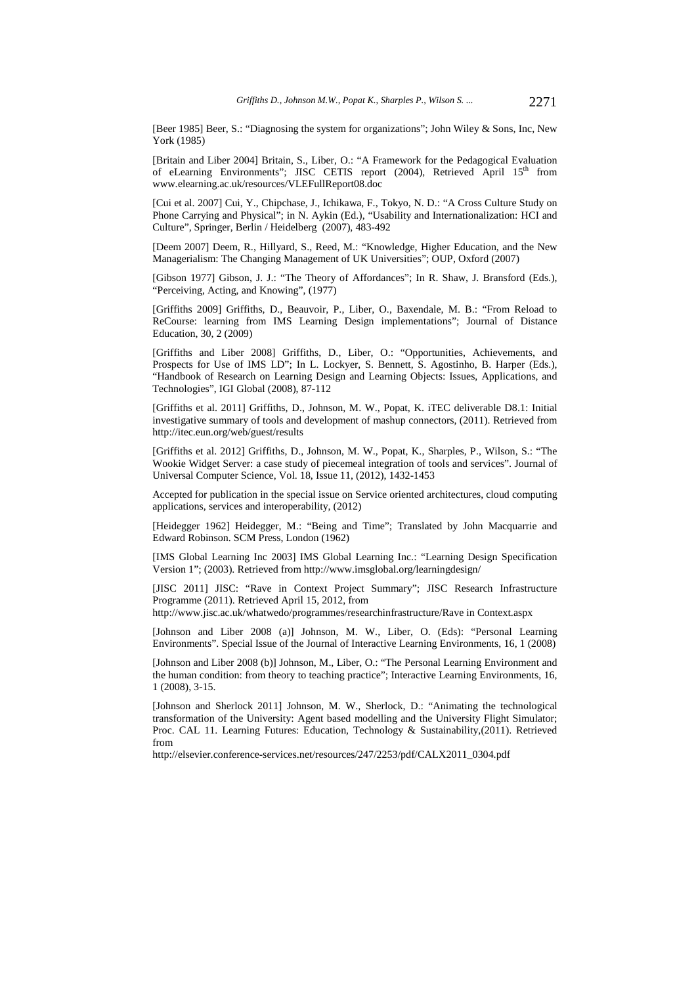[Beer 1985] Beer, S.: "Diagnosing the system for organizations"; John Wiley & Sons, Inc, New York (1985)

[Britain and Liber 2004] Britain, S., Liber, O.: "A Framework for the Pedagogical Evaluation of eLearning Environments"; JISC CETIS report (2004), Retrieved April 15<sup>th</sup> from www.elearning.ac.uk/resources/VLEFullReport08.doc

[Cui et al. 2007] Cui, Y., Chipchase, J., Ichikawa, F., Tokyo, N. D.: "A Cross Culture Study on Phone Carrying and Physical"; in N. Aykin (Ed.), "Usability and Internationalization: HCI and Culture", Springer, Berlin / Heidelberg (2007), 483-492

[Deem 2007] Deem, R., Hillyard, S., Reed, M.: "Knowledge, Higher Education, and the New Managerialism: The Changing Management of UK Universities"; OUP, Oxford (2007)

[Gibson 1977] Gibson, J. J.: "The Theory of Affordances"; In R. Shaw, J. Bransford (Eds.), "Perceiving, Acting, and Knowing", (1977)

[Griffiths 2009] Griffiths, D., Beauvoir, P., Liber, O., Baxendale, M. B.: "From Reload to ReCourse: learning from IMS Learning Design implementations"; Journal of Distance Education, 30, 2 (2009)

[Griffiths and Liber 2008] Griffiths, D., Liber, O.: "Opportunities, Achievements, and Prospects for Use of IMS LD"; In L. Lockyer, S. Bennett, S. Agostinho, B. Harper (Eds.), "Handbook of Research on Learning Design and Learning Objects: Issues, Applications, and Technologies", IGI Global (2008), 87-112

[Griffiths et al. 2011] Griffiths, D., Johnson, M. W., Popat, K. iTEC deliverable D8.1: Initial investigative summary of tools and development of mashup connectors, (2011). Retrieved from http://itec.eun.org/web/guest/results

[Griffiths et al. 2012] Griffiths, D., Johnson, M. W., Popat, K., Sharples, P., Wilson, S.: "The Wookie Widget Server: a case study of piecemeal integration of tools and services". Journal of Universal Computer Science, Vol. 18, Issue 11, (2012), 1432-1453

Accepted for publication in the special issue on Service oriented architectures, cloud computing applications, services and interoperability, (2012)

[Heidegger 1962] Heidegger, M.: "Being and Time"; Translated by John Macquarrie and Edward Robinson. SCM Press, London (1962)

[IMS Global Learning Inc 2003] IMS Global Learning Inc.: "Learning Design Specification Version 1"; (2003). Retrieved from http://www.imsglobal.org/learningdesign/

[JISC 2011] JISC: "Rave in Context Project Summary"; JISC Research Infrastructure Programme (2011). Retrieved April 15, 2012, from

http://www.jisc.ac.uk/whatwedo/programmes/researchinfrastructure/Rave in Context.aspx

[Johnson and Liber 2008 (a)] Johnson, M. W., Liber, O. (Eds): "Personal Learning Environments". Special Issue of the Journal of Interactive Learning Environments, 16, 1 (2008)

[Johnson and Liber 2008 (b)] Johnson, M., Liber, O.: "The Personal Learning Environment and the human condition: from theory to teaching practice"; Interactive Learning Environments, 16, 1 (2008), 3-15.

[Johnson and Sherlock 2011] Johnson, M. W., Sherlock, D.: "Animating the technological transformation of the University: Agent based modelling and the University Flight Simulator; Proc. CAL 11. Learning Futures: Education, Technology & Sustainability,(2011). Retrieved from

http://elsevier.conference-services.net/resources/247/2253/pdf/CALX2011\_0304.pdf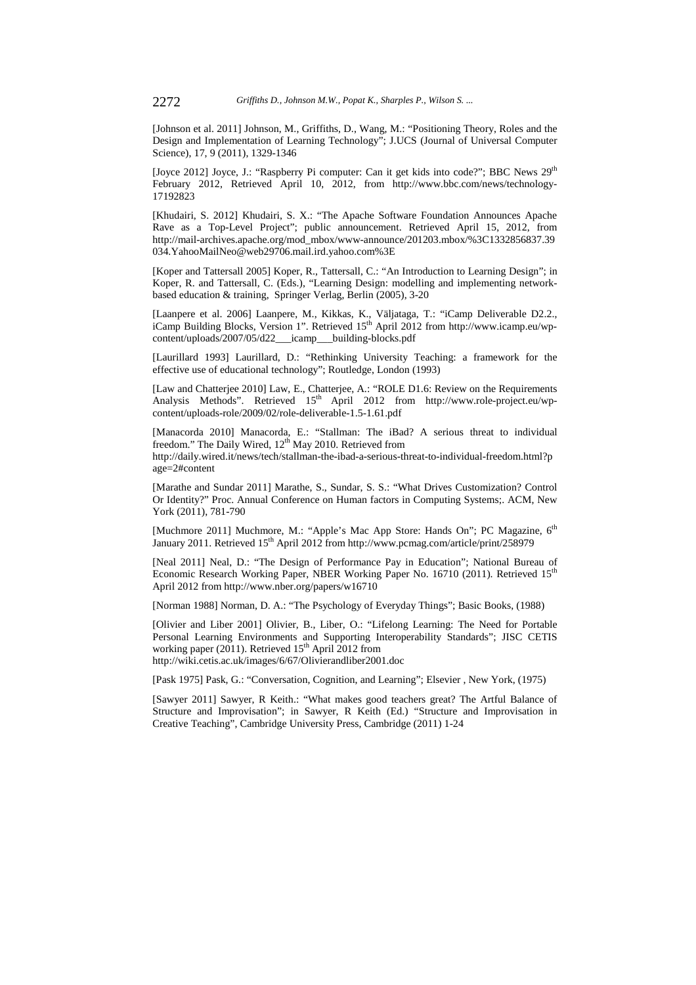[Johnson et al. 2011] Johnson, M., Griffiths, D., Wang, M.: "Positioning Theory, Roles and the Design and Implementation of Learning Technology"; J.UCS (Journal of Universal Computer Science), 17, 9 (2011), 1329-1346

[Joyce 2012] Joyce, J.: "Raspberry Pi computer: Can it get kids into code?"; BBC News 29<sup>th</sup> February 2012, Retrieved April 10, 2012, from http://www.bbc.com/news/technology-17192823

[Khudairi, S. 2012] Khudairi, S. X.: "The Apache Software Foundation Announces Apache Rave as a Top-Level Project"; public announcement. Retrieved April 15, 2012, from http://mail-archives.apache.org/mod\_mbox/www-announce/201203.mbox/%3C1332856837.39 034.YahooMailNeo@web29706.mail.ird.yahoo.com%3E

[Koper and Tattersall 2005] Koper, R., Tattersall, C.: "An Introduction to Learning Design"; in Koper, R. and Tattersall, C. (Eds.), "Learning Design: modelling and implementing networkbased education & training, Springer Verlag, Berlin (2005), 3-20

[Laanpere et al. 2006] Laanpere, M., Kikkas, K., Väljataga, T.: "iCamp Deliverable D2.2., iCamp Building Blocks, Version 1". Retrieved 15<sup>th</sup> April 2012 from http://www.icamp.eu/wpcontent/uploads/2007/05/d22\_\_\_icamp\_\_\_building-blocks.pdf

[Laurillard 1993] Laurillard, D.: "Rethinking University Teaching: a framework for the effective use of educational technology"; Routledge, London (1993)

[Law and Chatterjee 2010] Law, E., Chatterjee, A.: "ROLE D1.6: Review on the Requirements Analysis Methods". Retrieved 15<sup>th</sup> April 2012 from http://www.role-project.eu/wpcontent/uploads-role/2009/02/role-deliverable-1.5-1.61.pdf

[Manacorda 2010] Manacorda, E.: "Stallman: The iBad? A serious threat to individual freedom." The Daily Wired, 12<sup>th</sup> May 2010. Retrieved from http://daily.wired.it/news/tech/stallman-the-ibad-a-serious-threat-to-individual-freedom.html?p age=2#content

[Marathe and Sundar 2011] Marathe, S., Sundar, S. S.: "What Drives Customization? Control Or Identity?" Proc. Annual Conference on Human factors in Computing Systems;. ACM, New York (2011), 781-790

[Muchmore 2011] Muchmore, M.: "Apple's Mac App Store: Hands On"; PC Magazine, 6<sup>th</sup> January 2011. Retrieved 15<sup>th</sup> April 2012 from http://www.pcmag.com/article/print/258979

[Neal 2011] Neal, D.: "The Design of Performance Pay in Education"; National Bureau of Economic Research Working Paper, NBER Working Paper No. 16710 (2011). Retrieved 15<sup>th</sup> April 2012 from http://www.nber.org/papers/w16710

[Norman 1988] Norman, D. A.: "The Psychology of Everyday Things"; Basic Books, (1988)

[Olivier and Liber 2001] Olivier, B., Liber, O.: "Lifelong Learning: The Need for Portable Personal Learning Environments and Supporting Interoperability Standards"; JISC CETIS working paper (2011). Retrieved  $15<sup>th</sup>$  April 2012 from http://wiki.cetis.ac.uk/images/6/67/Olivierandliber2001.doc

[Pask 1975] Pask, G.: "Conversation, Cognition, and Learning"; Elsevier , New York, (1975)

[Sawyer 2011] Sawyer, R Keith.: "What makes good teachers great? The Artful Balance of Structure and Improvisation"; in Sawyer, R Keith (Ed.) "Structure and Improvisation in Creative Teaching", Cambridge University Press, Cambridge (2011) 1-24